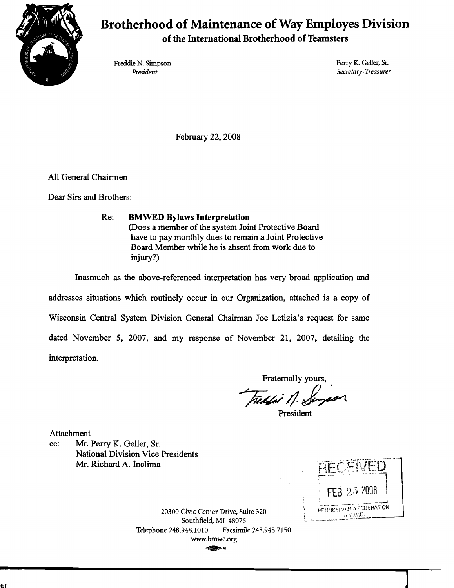

## **Brotherhood of Maintenance of Way Employes Division**

**of the International Brotherhood of Teamsters** 

Freddie N. Simpson Perry K. Geller, Sr. Perry K. Geller, Sr. Perry K. Geller, Sr. Persident Secretary-Treasurer

February 22, 2008

All General Chairmen

Dear Sirs and Brothers:

Re: **BMWED** Bylaws **Interpretation**  (Does a member of the system Joint Protective Board have to pay monthly dues to remain a Joint Protective Board Member while he is absent from work due to injury?)

Inasmuch as the above-referenced interpretation has very broad application and

addresses situations which routinely occur in our Organization, attached is a copy of Wisconsin Central System Division General Chairman Joe Letizia's request for same dated November 5, 2007, and my response of November 21, 2007, detailing the interpretation.

Fraternally yours, Freddi N. K

President

Attachment

cc: Mr. Perry K. Geller, Sr. National Division Vice Presidents Mr. Richard A. Inclima



**20300** Civic Center Drive, Suite **320**  Southfield, MI **48076**  Telephone **248.948.1010** Facsimile **248.948.7 150**  www.bmwe.org **48**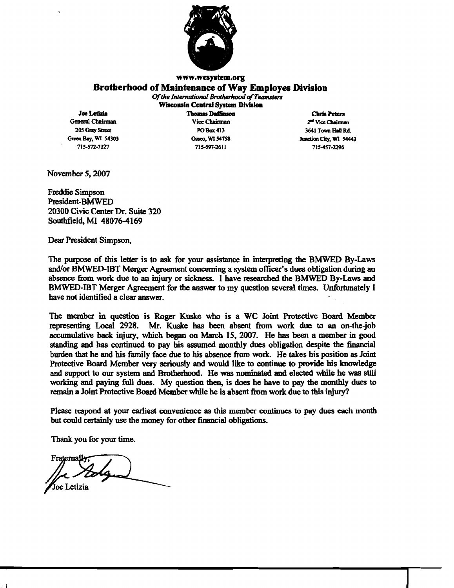

## **www.wcsystem.org Brotherhood of Maintenance of Way Employes Division**

*Of the International Brotherhood of Teamsters* **Wisconsin Central System Division** 

**Joe Letizia Chris Peters Chris Chris Chris Chris Chris Chris Chris Chris Chris Chris Chris Chris Chris Chris Chris Chris Chris Chris Chris Chris Chris Chris Chris Chris Chris Chris Chris Chris Chris Chris Chris Chris** 

**715-572-7 127 71 5597-26 1 1 715457-2296** 

**General Chuirman Vice** Cbairm~ **2.1 Vicc~ 205 GRy** Stroa **POBax413 3641 Town Hln Rd Correct Bay, WI 54303 Correct Correct Correct Correct Correct Correct Correct Correct Correct Correct Correct Correct Correct Correct Correct Correct Correct Correct Correct Correct Correct Correct Correct Correct Corre** 

November 5,2007

Freddie Simpson President-BMWED 20300 Civic Center Dr. Suite 320 Southfield, MI 48076-4169

**Dear** President Simpson,

The purpose of this letter is to ask for your assistance in interpreting the BMWED By-Laws andfor **BMWED-IBT** Merger Agreement **concerning** a system officer's dues obligation during an absence from work due to an injury or sickness. I have researched the BMWED By-Laws and BMWED-IBT Merger Agreement for the answer to my question several times. Unfortunately I have not identified a clear answer.

The member in **question** is Roger Kuske who is a WC Joint Protective Board Member representing Local 2928. Mr. Kuske **has** been absent **from** work due to an on-the-job accumulative back injury, which **began** on March 15, 2007. He has **been** a member in **good**  standing and has continued to pay his assumed monthly dues obligation despite the financial burden that he and his family face due to his absence **From** work. He takes his position as Joint Protective Board Member very seriously and would like to continue to provide his knowledge and support to our system and Brotherhood. He was nominated and elected while he was still working and paying full dues. My question then, is does he have to pay the monthly dues to remain a Joint Protective Board Member while he is absent fiom work due **to** this **injury?** 

Please respond at your earliest convenience as this **member** continues to pay dues **each** month but could certainly **use** the money for other financial obligations.

Thank you for your time.

Fraternally Joe Letizia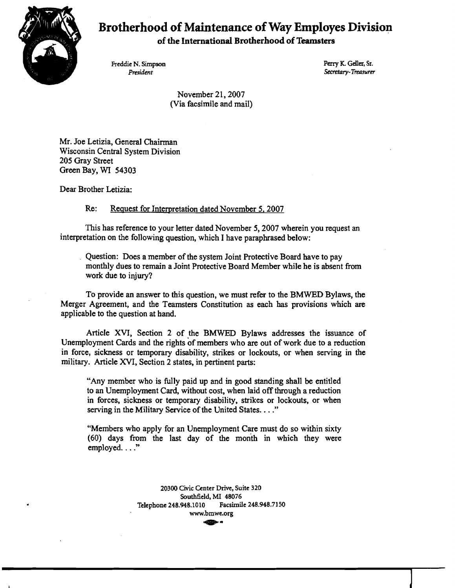

## **Brotherhood of Maintenance of Way Employes Division**

**of the International Brotherhood of Teamsters** 

Freddie N. Simpson Perry K. Geller, Sr. *Perry K. Geller, Sr. Perry K. Geller*, Sr. *President* 

**President** Secretary- *Treancrer* 

November 21, 2007 (Via facsimile and mail)

Mr. Joe Letizia, General Chairman Wisconsin Central System Division 205 Gray Street Green Bay, **WI** 54303

Dear Brother Letizia:

Re: Request for Interpretation dated November 5, 2007

This has reference to your letter dated November 5,2007 wherein you request an interpretation on the following question, which I have paraphrased below:

Question: Does a member of the system Joint Protective Board have to pay monthly dues to remain a Joint Protective Board Member while he is absent from work due to injury?

To provide an answer to this question, we must refer to the BMWED Bylaws, the Merger Agreement, and the Teamsters Constitution as each has provisions which **are**  applicable to the question at hand.

Article XVI, Section 2 of the BMWED Bylaws addresses the issuance of Unemployment Cards and the rights of members who **are** out of work due to a reduction in force, sickness or temporary disability, strikes or lockouts, or when serving in the military. Article **XVI,** Section 2 states, in pertinent parts:

"Any member who is fully paid up and in good standing shall be entitled to an Unemployment Card, without cost, when laid off through a reduction in forces, sickness or temporary disability, strikes or lockouts, or when serving in the Military Service of the United States. . . ."

"Members who apply for an Unemployment Care must do so within sixty (60) days from the last day of the month in which they were employed. . . ."

> **20300 Civic Center Drive, Suite 320 www.bmwe.org** -- **Southfield, MI 48076 Telephone 248.948.1010 Facsimile 248.948.7150**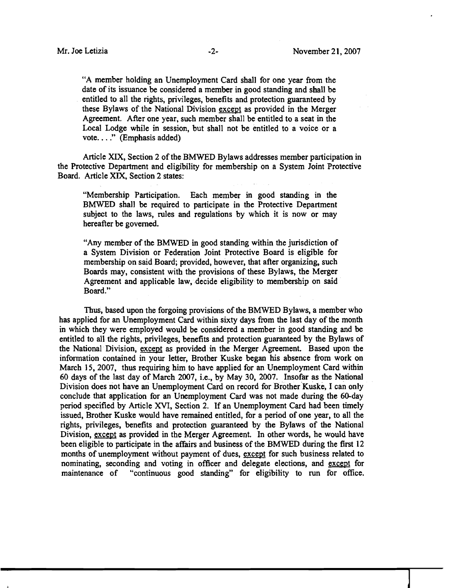**"A** member holding an Unemployment Card shall for one year from the date of its issuance be considered a member in good standing and shall be entitled to all the rights, privileges, benefits and protection guaranteed by these Bylaws of the National Division except as provided in the Merger Agreement. After one year, such member shall be entitled to a seat in the Local Lodge while in session, but shall not be entitled to a voice or a vote. . . ." (Emphasis added)

Article **XIX,** Section 2 of the BMWED Bylaws addresses member participation in the Protective Department and eligibility for membership on a System Joint Protective Board. Article **XIX,** Section 2 states:

"Membership Participation. Each member in good standing in the BMWED shall be required to participate in the Protective Department subject to the laws, rules and regulations by which it is now or may hereafter be governed.

"Any member of the BMWED in good standing within the jurisdiction of a System Division or Federation Joint Protective Board is eligible for membership on said Board; provided, however, that after organizing, such Boards may, consistent with the provisions of these Bylaws, the Merger Agreement and applicable law, decide eligibility to membership on said Board."

**Thus,** based upon the forgoing provisions of the BMWED Bylaws, a member who has applied for an Unemployment Card within sixty days from the last day of the month in which they were employed would be considered a member in good standing and be entitled to all the rights, privileges, benefits and protection guaranteed by the Bylaws of the National Division, except as provided in the Merger Agreement. Based upon the information contained in your letter, Brother Kuske began his absence from work on March 15, 2007, thus requiring him to have applied for an Unemployment Card within 60 days of the last day of March 2007, i.e., by May 30, 2007. Insofar as the National Division does not have an Unemployment Card on record for Brother Kuske, I can only conclude that application for an Unemployment Card was not made during the 60-day period specified by Article **XVI,** Section 2. If an Unemployment Card had been timely issued, Brother Kuske would have remained entitled, for a period of one year, to all the rights, privileges, benefits and protection guaranteed by the Bylaws of the National Division, except as provided in the Merger Agreement. In other words, he would have been eligible to participate in the affairs and business of the BMWED during the first 12 months of unemployment without payment of dues, except for such business related to nominating, seconding and voting in officer and delegate elections, and except for maintenance of "continuous good standing" for eligibility to run for office.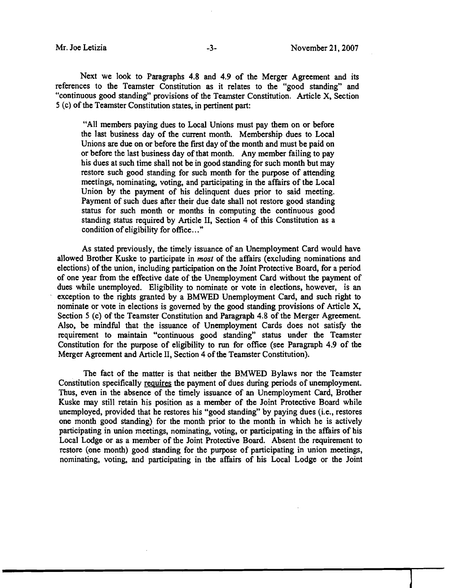Next we look to Paragraphs **4.8** and **4.9** of the Merger Agreement and its references to the Teamster Constitution as it relates to the "good standing" and "continuous good standing" provisions of the Teamster Constitution. Article X, Section 5 (c) of the Teamster Constitution states, in pertinent part:

"All members paying dues to Local Unions must pay them on or before the last business day of the current month. Membership dues to Local Unions are due on or before the first day of the month and must be paid on or before the last business day of that month. Any member failing to pay his dues at such time shall not be in good standing for such month but may restore such good standing for such month for the purpose of attending meetings, nominating, voting, and participating in the affairs of the Local Union by the payment of his delinquent dues prior to said meeting. Payment of such dues after their due date shall not restore good standing status for such month or months in computing the continuous good standing status required by Article 11, Section **4** of this Constitution as a condition of eligibility for office..."

As stated previously, the timely issuance of an Unemployment Card would have allowed Brother Kuske to participate in *most* of the affairs (excluding nominations and elections) of the union, including participation on the Joint Protective Board, for a period of one year fiom the effective date of the Unemployment Card without the payment of dues while unemployed. Eligibility to nominate or vote in elections, however, is an exception to the rights granted by a BMWED Unemployment Card, and such right to nominate or vote in elections is governed by the good standing provisions of Article **X,**  Section 5 (c) of the Teamster Constitution and Paragraph 4.8 of the Merger Agreement. Also, be mindful that the issuance of Unemployment Cards does not satisfy the requirement to maintain "continuous good standing" status under the Teamster Constitution for the purpose of eligibility to **run** for office (see Paragraph **4.9** of the Merger Agreement and Article **11,** Section **4** of the Teamster Constitution).

The fact of the matter is that neither the BMWED Bylaws nor the Teamster Constitution specifically requires the payment of dues during periods of unemployment. Thus, even in the absence of the timely issuance of an Unemployment Card, Brother Kuske may still retain his position as a member of the Joint Protective Board while unemployed, provided that he restores his "good standing" by paying dues (i.e., restores one month good standing) for the month prior to the month in which he is actively participating in union meetings, nominating, voting, or participating in the affairs of his Local Lodge or as a member of the Joint Protective Board. Absent the requirement to restore (one month) good standing for the purpose of participating in union meetings, nominating, voting, and participating in the affairs of his Local Lodge or the Joint